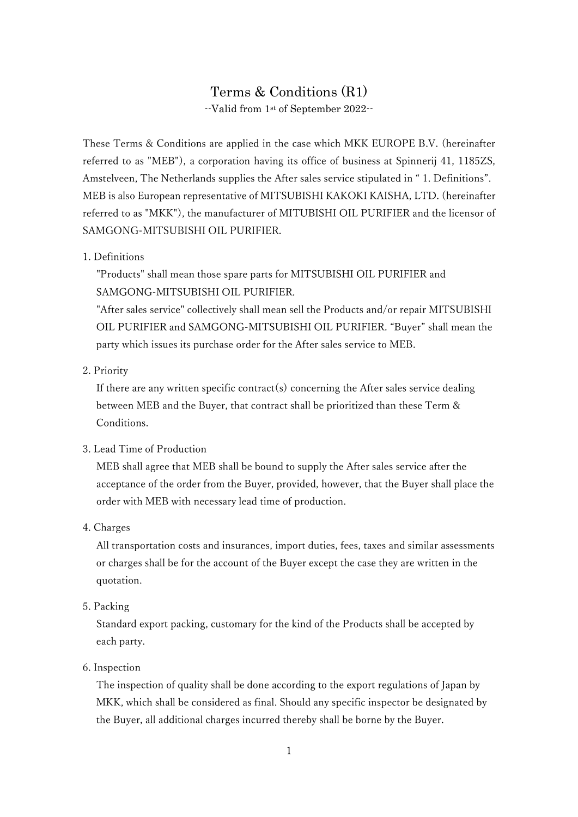# Terms & Conditions (R1) --Valid from 1st of September 2022--

These Terms & Conditions are applied in the case which MKK EUROPE B.V. (hereinafter referred to as "MEB"), a corporation having its office of business at Spinnerij 41, 1185ZS, Amstelveen, The Netherlands supplies the After sales service stipulated in " 1. Definitions". MEB is also European representative of MITSUBISHI KAKOKI KAISHA, LTD. (hereinafter referred to as "MKK"), the manufacturer of MITUBISHI OIL PURIFIER and the licensor of SAMGONG-MITSUBISHI OIL PURIFIER.

# 1. Definitions

"Products" shall mean those spare parts for MITSUBISHI OIL PURIFIER and SAMGONG-MITSUBISHI OIL PURIFIER.

"After sales service" collectively shall mean sell the Products and/or repair MITSUBISHI OIL PURIFIER and SAMGONG-MITSUBISHI OIL PURIFIER. "Buyer" shall mean the party which issues its purchase order for the After sales service to MEB.

#### 2. Priority

If there are any written specific contract(s) concerning the After sales service dealing between MEB and the Buyer, that contract shall be prioritized than these Term & Conditions.

# 3. Lead Time of Production

 MEB shall agree that MEB shall be bound to supply the After sales service after the acceptance of the order from the Buyer, provided, however, that the Buyer shall place the order with MEB with necessary lead time of production.

## 4. Charges

All transportation costs and insurances, import duties, fees, taxes and similar assessments or charges shall be for the account of the Buyer except the case they are written in the quotation.

5. Packing

Standard export packing, customary for the kind of the Products shall be accepted by each party.

6. Inspection

The inspection of quality shall be done according to the export regulations of Japan by MKK, which shall be considered as final. Should any specific inspector be designated by the Buyer, all additional charges incurred thereby shall be borne by the Buyer.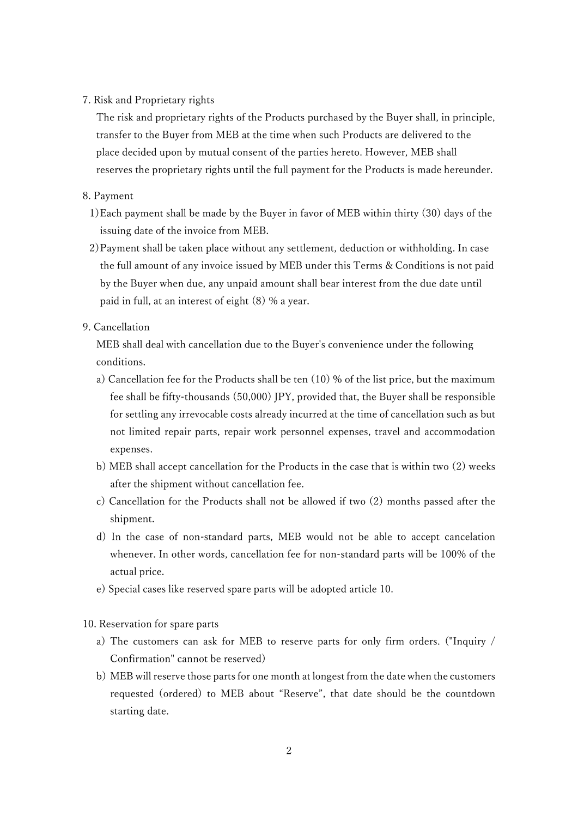7. Risk and Proprietary rights

The risk and proprietary rights of the Products purchased by the Buyer shall, in principle, transfer to the Buyer from MEB at the time when such Products are delivered to the place decided upon by mutual consent of the parties hereto. However, MEB shall reserves the proprietary rights until the full payment for the Products is made hereunder.

## 8. Payment

- 1)Each payment shall be made by the Buyer in favor of MEB within thirty (30) days of the issuing date of the invoice from MEB.
- 2)Payment shall be taken place without any settlement, deduction or withholding. In case the full amount of any invoice issued by MEB under this Terms & Conditions is not paid by the Buyer when due, any unpaid amount shall bear interest from the due date until paid in full, at an interest of eight (8) % a year.
- 9. Cancellation

MEB shall deal with cancellation due to the Buyer's convenience under the following conditions.

- a) Cancellation fee for the Products shall be ten (10) % of the list price, but the maximum fee shall be fifty-thousands (50,000) JPY, provided that, the Buyer shall be responsible for settling any irrevocable costs already incurred at the time of cancellation such as but not limited repair parts, repair work personnel expenses, travel and accommodation expenses.
- b) MEB shall accept cancellation for the Products in the case that is within two (2) weeks after the shipment without cancellation fee.
- c) Cancellation for the Products shall not be allowed if two (2) months passed after the shipment.
- d) In the case of non-standard parts, MEB would not be able to accept cancelation whenever. In other words, cancellation fee for non-standard parts will be 100% of the actual price.
- e) Special cases like reserved spare parts will be adopted article 10.

10. Reservation for spare parts

- a) The customers can ask for MEB to reserve parts for only firm orders. ("Inquiry / Confirmation" cannot be reserved)
- b) MEB will reserve those parts for one month at longest from the date when the customers requested (ordered) to MEB about "Reserve", that date should be the countdown starting date.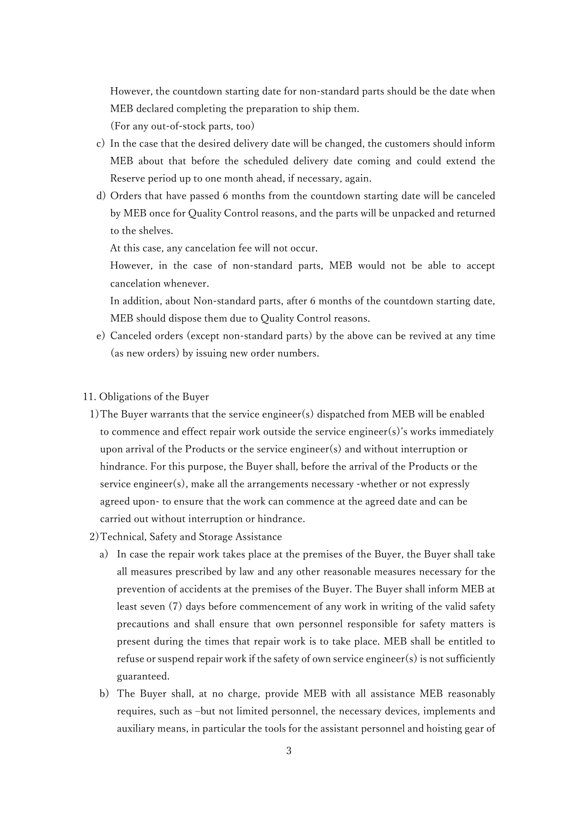However, the countdown starting date for non-standard parts should be the date when MEB declared completing the preparation to ship them.

(For any out-of-stock parts, too)

- c) In the case that the desired delivery date will be changed, the customers should inform MEB about that before the scheduled delivery date coming and could extend the Reserve period up to one month ahead, if necessary, again.
- d) Orders that have passed 6 months from the countdown starting date will be canceled by MEB once for Quality Control reasons, and the parts will be unpacked and returned to the shelves.

At this case, any cancelation fee will not occur.

However, in the case of non-standard parts, MEB would not be able to accept cancelation whenever.

In addition, about Non-standard parts, after 6 months of the countdown starting date, MEB should dispose them due to Quality Control reasons.

- e) Canceled orders (except non-standard parts) by the above can be revived at any time (as new orders) by issuing new order numbers.
- 11. Obligations of the Buyer
	- 1)The Buyer warrants that the service engineer(s) dispatched from MEB will be enabled to commence and effect repair work outside the service engineer(s)'s works immediately upon arrival of the Products or the service engineer(s) and without interruption or hindrance. For this purpose, the Buyer shall, before the arrival of the Products or the service engineer(s), make all the arrangements necessary -whether or not expressly agreed upon- to ensure that the work can commence at the agreed date and can be carried out without interruption or hindrance.
- 2)Technical, Safety and Storage Assistance
	- a) In case the repair work takes place at the premises of the Buyer, the Buyer shall take all measures prescribed by law and any other reasonable measures necessary for the prevention of accidents at the premises of the Buyer. The Buyer shall inform MEB at least seven (7) days before commencement of any work in writing of the valid safety precautions and shall ensure that own personnel responsible for safety matters is present during the times that repair work is to take place. MEB shall be entitled to refuse or suspend repair work if the safety of own service engineer(s) is not sufficiently guaranteed.
	- b) The Buyer shall, at no charge, provide MEB with all assistance MEB reasonably requires, such as –but not limited personnel, the necessary devices, implements and auxiliary means, in particular the tools for the assistant personnel and hoisting gear of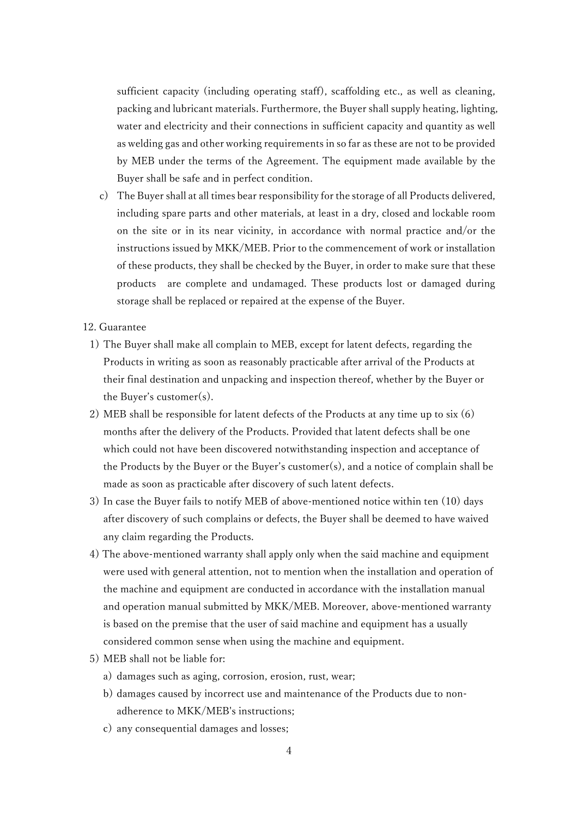sufficient capacity (including operating staff), scaffolding etc., as well as cleaning, packing and lubricant materials. Furthermore, the Buyer shall supply heating, lighting, water and electricity and their connections in sufficient capacity and quantity as well as welding gas and other working requirements in so far as these are not to be provided by MEB under the terms of the Agreement. The equipment made available by the Buyer shall be safe and in perfect condition.

c) The Buyer shall at all times bear responsibility for the storage of all Products delivered, including spare parts and other materials, at least in a dry, closed and lockable room on the site or in its near vicinity, in accordance with normal practice and/or the instructions issued by MKK/MEB. Prior to the commencement of work or installation of these products, they shall be checked by the Buyer, in order to make sure that these products are complete and undamaged. These products lost or damaged during storage shall be replaced or repaired at the expense of the Buyer.

12. Guarantee

- 1) The Buyer shall make all complain to MEB, except for latent defects, regarding the Products in writing as soon as reasonably practicable after arrival of the Products at their final destination and unpacking and inspection thereof, whether by the Buyer or the Buyer's customer(s).
- 2) MEB shall be responsible for latent defects of the Products at any time up to six (6) months after the delivery of the Products. Provided that latent defects shall be one which could not have been discovered notwithstanding inspection and acceptance of the Products by the Buyer or the Buyer's customer(s), and a notice of complain shall be made as soon as practicable after discovery of such latent defects.
- 3) In case the Buyer fails to notify MEB of above-mentioned notice within ten (10) days after discovery of such complains or defects, the Buyer shall be deemed to have waived any claim regarding the Products.
- 4) The above-mentioned warranty shall apply only when the said machine and equipment were used with general attention, not to mention when the installation and operation of the machine and equipment are conducted in accordance with the installation manual and operation manual submitted by MKK/MEB. Moreover, above-mentioned warranty is based on the premise that the user of said machine and equipment has a usually considered common sense when using the machine and equipment.
- 5) MEB shall not be liable for:
	- a) damages such as aging, corrosion, erosion, rust, wear;
	- b) damages caused by incorrect use and maintenance of the Products due to nonadherence to MKK/MEB's instructions;
	- c) any consequential damages and losses;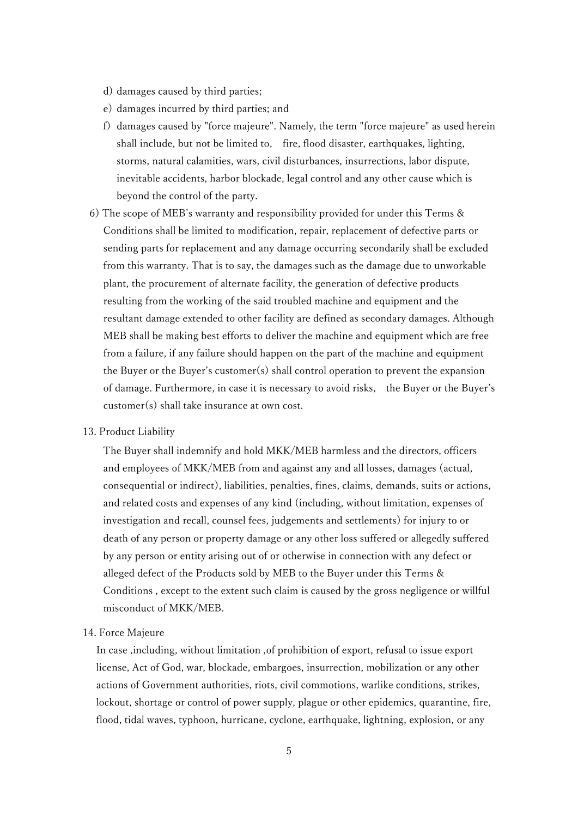- d) damages caused by third parties;
- e) damages incurred by third parties; and
- f) damages caused by "force majeure". Namely, the term "force majeure" as used herein shall include, but not be limited to, fire, flood disaster, earthquakes, lighting, storms, natural calamities, wars, civil disturbances, insurrections, labor dispute, inevitable accidents, harbor blockade, legal control and any other cause which is beyond the control of the party.
- 6) The scope of MEB's warranty and responsibility provided for under this Terms & Conditions shall be limited to modification, repair, replacement of defective parts or sending parts for replacement and any damage occurring secondarily shall be excluded from this warranty. That is to say, the damages such as the damage due to unworkable plant, the procurement of alternate facility, the generation of defective products resulting from the working of the said troubled machine and equipment and the resultant damage extended to other facility are defined as secondary damages. Although MEB shall be making best efforts to deliver the machine and equipment which are free from a failure, if any failure should happen on the part of the machine and equipment the Buyer or the Buyer's customer(s) shall control operation to prevent the expansion of damage. Furthermore, in case it is necessary to avoid risks, the Buyer or the Buyer's customer(s) shall take insurance at own cost.

## 13. Product Liability

The Buyer shall indemnify and hold MKK/MEB harmless and the directors, officers and employees of MKK/MEB from and against any and all losses, damages (actual, consequential or indirect), liabilities, penalties, fines, claims, demands, suits or actions, and related costs and expenses of any kind (including, without limitation, expenses of investigation and recall, counsel fees, judgements and settlements) for injury to or death of any person or property damage or any other loss suffered or allegedly suffered by any person or entity arising out of or otherwise in connection with any defect or alleged defect of the Products sold by MEB to the Buyer under this Terms & Conditions , except to the extent such claim is caused by the gross negligence or willful misconduct of MKK/MEB.

#### 14. Force Majeure

In case ,including, without limitation ,of prohibition of export, refusal to issue export license, Act of God, war, blockade, embargoes, insurrection, mobilization or any other actions of Government authorities, riots, civil commotions, warlike conditions, strikes, lockout, shortage or control of power supply, plague or other epidemics, quarantine, fire, flood, tidal waves, typhoon, hurricane, cyclone, earthquake, lightning, explosion, or any